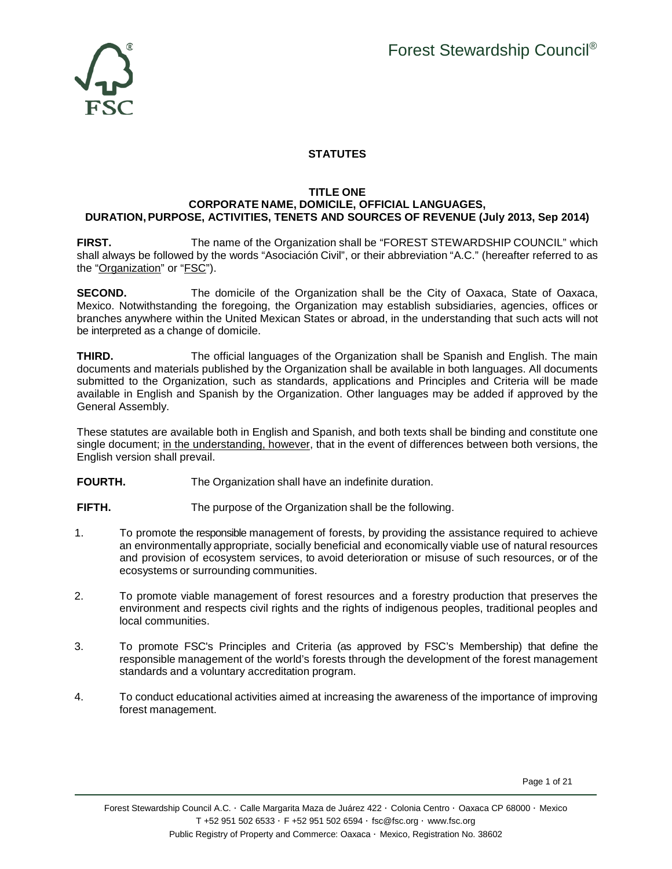

# **STATUTES**

# **TITLE ONE**

## **CORPORATE NAME, DOMICILE, OFFICIAL LANGUAGES, DURATION, PURPOSE, ACTIVITIES, TENETS AND SOURCES OF REVENUE (July 2013, Sep 2014)**

**FIRST.** The name of the Organization shall be "FOREST STEWARDSHIP COUNCIL" which shall always be followed by the words "Asociación Civil", or their abbreviation "A.C." (hereafter referred to as the "Organization" or "FSC").

**SECOND.** The domicile of the Organization shall be the City of Oaxaca, State of Oaxaca, Mexico. Notwithstanding the foregoing, the Organization may establish subsidiaries, agencies, offices or branches anywhere within the United Mexican States or abroad, in the understanding that such acts will not be interpreted as a change of domicile.

**THIRD.** The official languages of the Organization shall be Spanish and English. The main documents and materials published by the Organization shall be available in both languages. All documents submitted to the Organization, such as standards, applications and Principles and Criteria will be made available in English and Spanish by the Organization. Other languages may be added if approved by the General Assembly.

These statutes are available both in English and Spanish, and both texts shall be binding and constitute one single document; in the understanding, however, that in the event of differences between both versions, the English version shall prevail.

**FOURTH.** The Organization shall have an indefinite duration.

**FIFTH.** The purpose of the Organization shall be the following.

- 1. To promote the responsible management of forests, by providing the assistance required to achieve an environmentally appropriate, socially beneficial and economically viable use of natural resources and provision of ecosystem services, to avoid deterioration or misuse of such resources, or of the ecosystems or surrounding communities.
- 2. To promote viable management of forest resources and a forestry production that preserves the environment and respects civil rights and the rights of indigenous peoples, traditional peoples and local communities.
- 3. To promote FSC's Principles and Criteria (as approved by FSC's Membership) that define the responsible management of the world's forests through the development of the forest management standards and a voluntary accreditation program.
- 4. To conduct educational activities aimed at increasing the awareness of the importance of improving forest management.

Page 1 of 21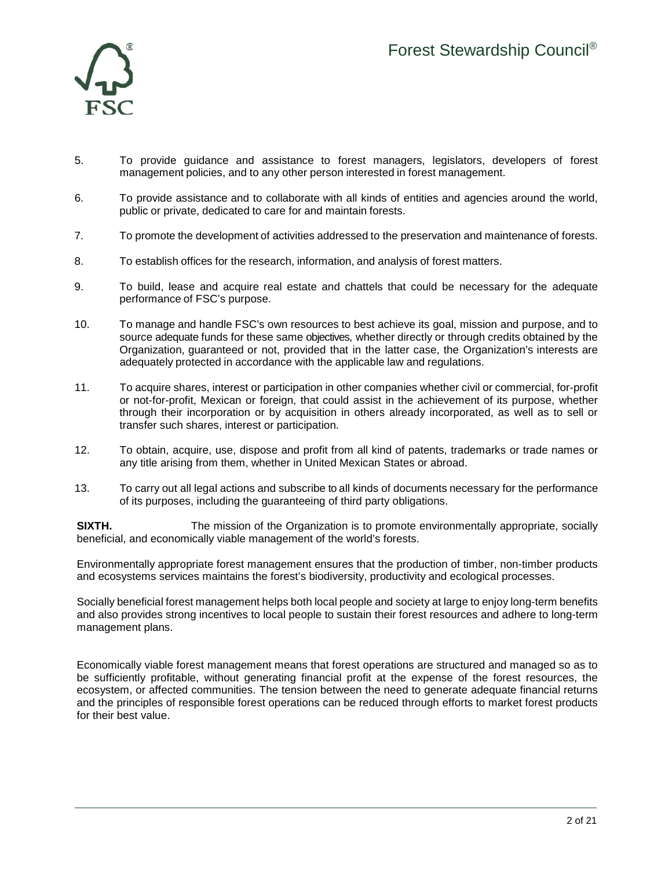

- 5. To provide guidance and assistance to forest managers, legislators, developers of forest management policies, and to any other person interested in forest management.
- 6. To provide assistance and to collaborate with all kinds of entities and agencies around the world, public or private, dedicated to care for and maintain forests.
- 7. To promote the development of activities addressed to the preservation and maintenance of forests.
- 8. To establish offices for the research, information, and analysis of forest matters.
- 9. To build, lease and acquire real estate and chattels that could be necessary for the adequate performance of FSC's purpose.
- 10. To manage and handle FSC's own resources to best achieve its goal, mission and purpose, and to source adequate funds for these same objectives, whether directly or through credits obtained by the Organization, guaranteed or not, provided that in the latter case, the Organization's interests are adequately protected in accordance with the applicable law and regulations.
- 11. To acquire shares, interest or participation in other companies whether civil or commercial, for-profit or not-for-profit, Mexican or foreign, that could assist in the achievement of its purpose, whether through their incorporation or by acquisition in others already incorporated, as well as to sell or transfer such shares, interest or participation.
- 12. To obtain, acquire, use, dispose and profit from all kind of patents, trademarks or trade names or any title arising from them, whether in United Mexican States or abroad.
- 13. To carry out all legal actions and subscribe to all kinds of documents necessary for the performance of its purposes, including the guaranteeing of third party obligations.

**SIXTH.** The mission of the Organization is to promote environmentally appropriate, socially beneficial, and economically viable management of the world's forests.

Environmentally appropriate forest management ensures that the production of timber, non-timber products and ecosystems services maintains the forest's biodiversity, productivity and ecological processes.

Socially beneficial forest management helps both local people and society at large to enjoy long-term benefits and also provides strong incentives to local people to sustain their forest resources and adhere to long-term management plans.

Economically viable forest management means that forest operations are structured and managed so as to be sufficiently profitable, without generating financial profit at the expense of the forest resources, the ecosystem, or affected communities. The tension between the need to generate adequate financial returns and the principles of responsible forest operations can be reduced through efforts to market forest products for their best value.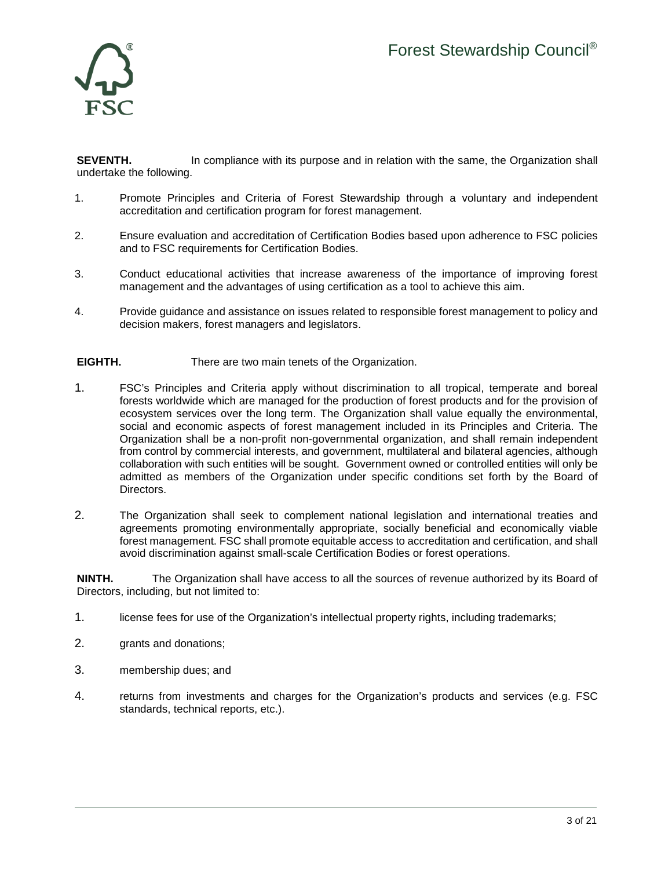

**SEVENTH.** In compliance with its purpose and in relation with the same, the Organization shall undertake the following.

- 1. Promote Principles and Criteria of Forest Stewardship through a voluntary and independent accreditation and certification program for forest management.
- 2. Ensure evaluation and accreditation of Certification Bodies based upon adherence to FSC policies and to FSC requirements for Certification Bodies.
- 3. Conduct educational activities that increase awareness of the importance of improving forest management and the advantages of using certification as a tool to achieve this aim.
- 4. Provide guidance and assistance on issues related to responsible forest management to policy and decision makers, forest managers and legislators.

### **EIGHTH.** There are two main tenets of the Organization.

- 1. FSC's Principles and Criteria apply without discrimination to all tropical, temperate and boreal forests worldwide which are managed for the production of forest products and for the provision of ecosystem services over the long term. The Organization shall value equally the environmental, social and economic aspects of forest management included in its Principles and Criteria. The Organization shall be a non-profit non-governmental organization, and shall remain independent from control by commercial interests, and government, multilateral and bilateral agencies, although collaboration with such entities will be sought. Government owned or controlled entities will only be admitted as members of the Organization under specific conditions set forth by the Board of Directors.
- 2. The Organization shall seek to complement national legislation and international treaties and agreements promoting environmentally appropriate, socially beneficial and economically viable forest management. FSC shall promote equitable access to accreditation and certification, and shall avoid discrimination against small-scale Certification Bodies or forest operations.

**NINTH.** The Organization shall have access to all the sources of revenue authorized by its Board of Directors, including, but not limited to:

- 1. license fees for use of the Organization's intellectual property rights, including trademarks;
- 2. grants and donations;
- 3. membership dues; and
- 4. returns from investments and charges for the Organization's products and services (e.g. FSC standards, technical reports, etc.).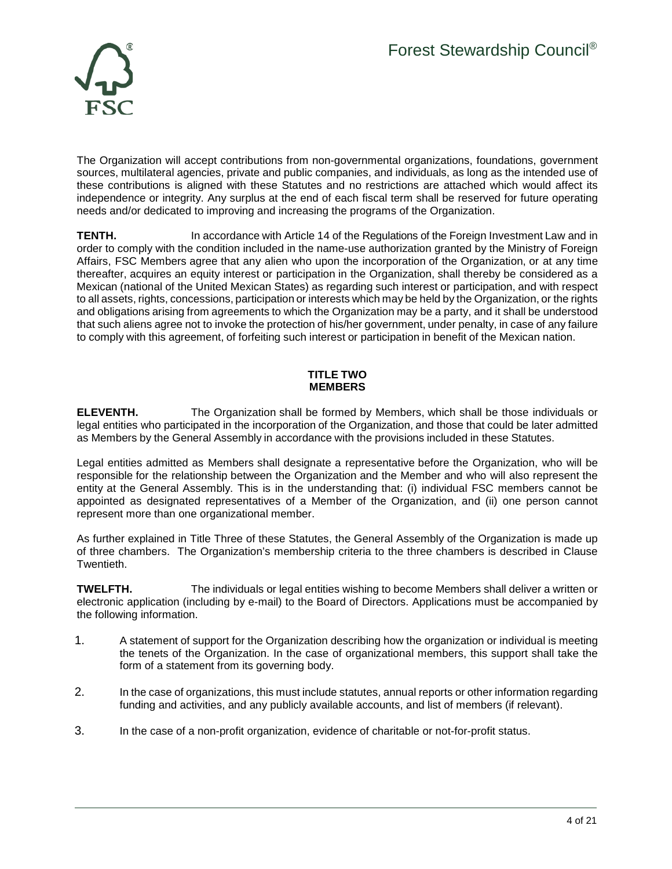

The Organization will accept contributions from non-governmental organizations, foundations, government sources, multilateral agencies, private and public companies, and individuals, as long as the intended use of these contributions is aligned with these Statutes and no restrictions are attached which would affect its independence or integrity. Any surplus at the end of each fiscal term shall be reserved for future operating needs and/or dedicated to improving and increasing the programs of the Organization.

**TENTH.** In accordance with Article 14 of the Regulations of the Foreign Investment Law and in order to comply with the condition included in the name-use authorization granted by the Ministry of Foreign Affairs, FSC Members agree that any alien who upon the incorporation of the Organization, or at any time thereafter, acquires an equity interest or participation in the Organization, shall thereby be considered as a Mexican (national of the United Mexican States) as regarding such interest or participation, and with respect to all assets, rights, concessions, participation or interests which may be held by the Organization, or the rights and obligations arising from agreements to which the Organization may be a party, and it shall be understood that such aliens agree not to invoke the protection of his/her government, under penalty, in case of any failure to comply with this agreement, of forfeiting such interest or participation in benefit of the Mexican nation.

## **TITLE TWO MEMBERS**

**ELEVENTH.** The Organization shall be formed by Members, which shall be those individuals or legal entities who participated in the incorporation of the Organization, and those that could be later admitted as Members by the General Assembly in accordance with the provisions included in these Statutes.

Legal entities admitted as Members shall designate a representative before the Organization, who will be responsible for the relationship between the Organization and the Member and who will also represent the entity at the General Assembly. This is in the understanding that: (i) individual FSC members cannot be appointed as designated representatives of a Member of the Organization, and (ii) one person cannot represent more than one organizational member.

As further explained in Title Three of these Statutes, the General Assembly of the Organization is made up of three chambers. The Organization's membership criteria to the three chambers is described in Clause Twentieth.

**TWELFTH.** The individuals or legal entities wishing to become Members shall deliver a written or electronic application (including by e-mail) to the Board of Directors. Applications must be accompanied by the following information.

- 1. A statement of support for the Organization describing how the organization or individual is meeting the tenets of the Organization. In the case of organizational members, this support shall take the form of a statement from its governing body.
- 2. In the case of organizations, this must include statutes, annual reports or other information regarding funding and activities, and any publicly available accounts, and list of members (if relevant).
- 3. In the case of a non-profit organization, evidence of charitable or not-for-profit status.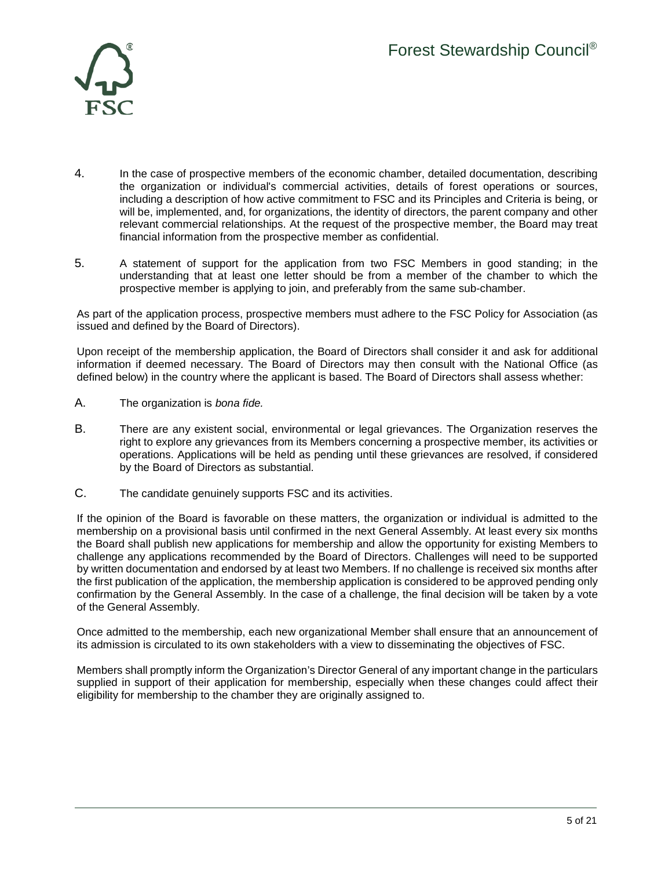

- 4. In the case of prospective members of the economic chamber, detailed documentation, describing the organization or individual's commercial activities, details of forest operations or sources, including a description of how active commitment to FSC and its Principles and Criteria is being, or will be, implemented, and, for organizations, the identity of directors, the parent company and other relevant commercial relationships. At the request of the prospective member, the Board may treat financial information from the prospective member as confidential.
- 5. A statement of support for the application from two FSC Members in good standing; in the understanding that at least one letter should be from a member of the chamber to which the prospective member is applying to join, and preferably from the same sub-chamber.

As part of the application process, prospective members must adhere to the FSC Policy for Association (as issued and defined by the Board of Directors).

Upon receipt of the membership application, the Board of Directors shall consider it and ask for additional information if deemed necessary. The Board of Directors may then consult with the National Office (as defined below) in the country where the applicant is based. The Board of Directors shall assess whether:

- A. The organization is *bona fide.*
- B. There are any existent social, environmental or legal grievances. The Organization reserves the right to explore any grievances from its Members concerning a prospective member, its activities or operations. Applications will be held as pending until these grievances are resolved, if considered by the Board of Directors as substantial.
- C. The candidate genuinely supports FSC and its activities.

If the opinion of the Board is favorable on these matters, the organization or individual is admitted to the membership on a provisional basis until confirmed in the next General Assembly. At least every six months the Board shall publish new applications for membership and allow the opportunity for existing Members to challenge any applications recommended by the Board of Directors. Challenges will need to be supported by written documentation and endorsed by at least two Members. If no challenge is received six months after the first publication of the application, the membership application is considered to be approved pending only confirmation by the General Assembly. In the case of a challenge, the final decision will be taken by a vote of the General Assembly.

Once admitted to the membership, each new organizational Member shall ensure that an announcement of its admission is circulated to its own stakeholders with a view to disseminating the objectives of FSC.

Members shall promptly inform the Organization's Director General of any important change in the particulars supplied in support of their application for membership, especially when these changes could affect their eligibility for membership to the chamber they are originally assigned to.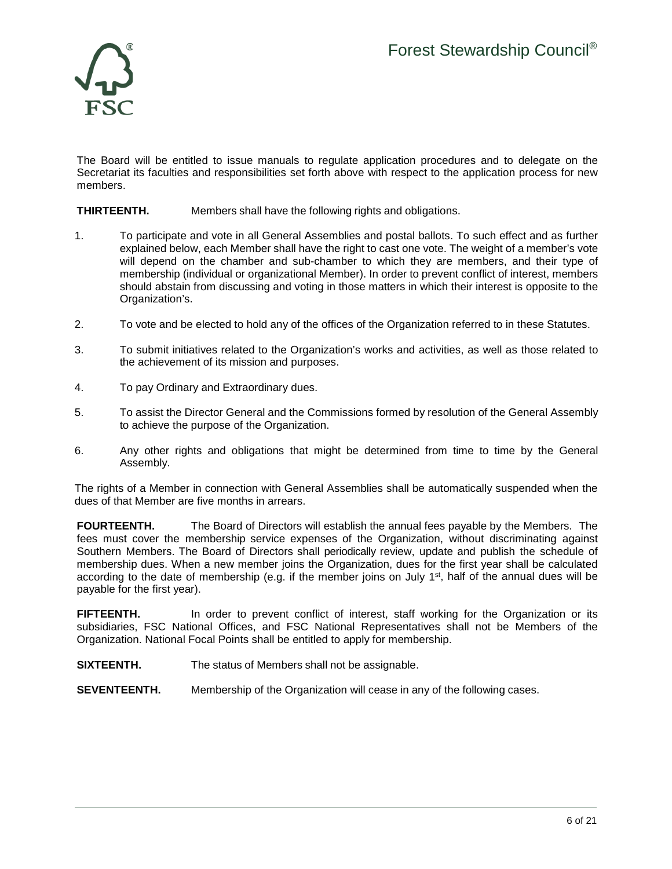

The Board will be entitled to issue manuals to regulate application procedures and to delegate on the Secretariat its faculties and responsibilities set forth above with respect to the application process for new members.

## **THIRTEENTH.** Members shall have the following rights and obligations.

- 1. To participate and vote in all General Assemblies and postal ballots. To such effect and as further explained below, each Member shall have the right to cast one vote. The weight of a member's vote will depend on the chamber and sub-chamber to which they are members, and their type of membership (individual or organizational Member). In order to prevent conflict of interest, members should abstain from discussing and voting in those matters in which their interest is opposite to the Organization's.
- 2. To vote and be elected to hold any of the offices of the Organization referred to in these Statutes.
- 3. To submit initiatives related to the Organization's works and activities, as well as those related to the achievement of its mission and purposes.
- 4. To pay Ordinary and Extraordinary dues.
- 5. To assist the Director General and the Commissions formed by resolution of the General Assembly to achieve the purpose of the Organization.
- 6. Any other rights and obligations that might be determined from time to time by the General Assembly.

The rights of a Member in connection with General Assemblies shall be automatically suspended when the dues of that Member are five months in arrears.

**FOURTEENTH.** The Board of Directors will establish the annual fees payable by the Members. The fees must cover the membership service expenses of the Organization, without discriminating against Southern Members. The Board of Directors shall periodically review, update and publish the schedule of membership dues. When a new member joins the Organization, dues for the first year shall be calculated according to the date of membership (e.g. if the member joins on July  $1<sup>st</sup>$ , half of the annual dues will be payable for the first year).

**FIFTEENTH.** In order to prevent conflict of interest, staff working for the Organization or its subsidiaries, FSC National Offices, and FSC National Representatives shall not be Members of the Organization. National Focal Points shall be entitled to apply for membership.

**SIXTEENTH.** The status of Members shall not be assignable.

**SEVENTEENTH.** Membership of the Organization will cease in any of the following cases.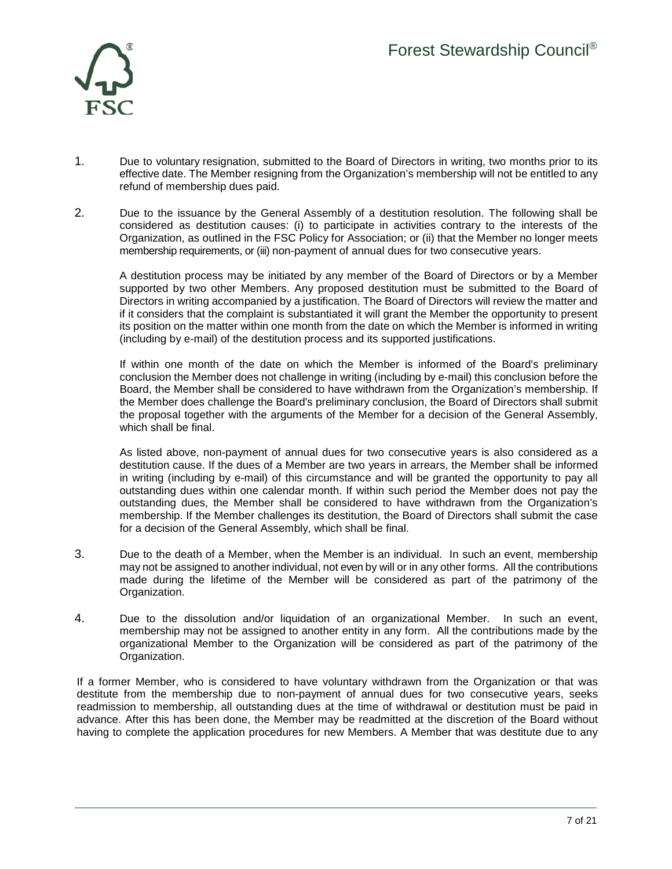

- 1. Due to voluntary resignation, submitted to the Board of Directors in writing, two months prior to its effective date. The Member resigning from the Organization's membership will not be entitled to any refund of membership dues paid.
- 2. Due to the issuance by the General Assembly of a destitution resolution. The following shall be considered as destitution causes: (i) to participate in activities contrary to the interests of the Organization, as outlined in the FSC Policy for Association; or (ii) that the Member no longer meets membership requirements, or (iii) non-payment of annual dues for two consecutive years.

A destitution process may be initiated by any member of the Board of Directors or by a Member supported by two other Members. Any proposed destitution must be submitted to the Board of Directors in writing accompanied by a justification. The Board of Directors will review the matter and if it considers that the complaint is substantiated it will grant the Member the opportunity to present its position on the matter within one month from the date on which the Member is informed in writing (including by e-mail) of the destitution process and its supported justifications.

If within one month of the date on which the Member is informed of the Board's preliminary conclusion the Member does not challenge in writing (including by e-mail) this conclusion before the Board, the Member shall be considered to have withdrawn from the Organization's membership. If the Member does challenge the Board's preliminary conclusion, the Board of Directors shall submit the proposal together with the arguments of the Member for a decision of the General Assembly, which shall be final.

As listed above, non-payment of annual dues for two consecutive years is also considered as a destitution cause. If the dues of a Member are two years in arrears, the Member shall be informed in writing (including by e-mail) of this circumstance and will be granted the opportunity to pay all outstanding dues within one calendar month. If within such period the Member does not pay the outstanding dues, the Member shall be considered to have withdrawn from the Organization's membership. If the Member challenges its destitution, the Board of Directors shall submit the case for a decision of the General Assembly, which shall be final.

- 3. Due to the death of a Member, when the Member is an individual. In such an event, membership may not be assigned to another individual, not even by will or in any other forms. All the contributions made during the lifetime of the Member will be considered as part of the patrimony of the Organization.
- 4. Due to the dissolution and/or liquidation of an organizational Member. In such an event, membership may not be assigned to another entity in any form. All the contributions made by the organizational Member to the Organization will be considered as part of the patrimony of the Organization.

If a former Member, who is considered to have voluntary withdrawn from the Organization or that was destitute from the membership due to non-payment of annual dues for two consecutive years, seeks readmission to membership, all outstanding dues at the time of withdrawal or destitution must be paid in advance. After this has been done, the Member may be readmitted at the discretion of the Board without having to complete the application procedures for new Members. A Member that was destitute due to any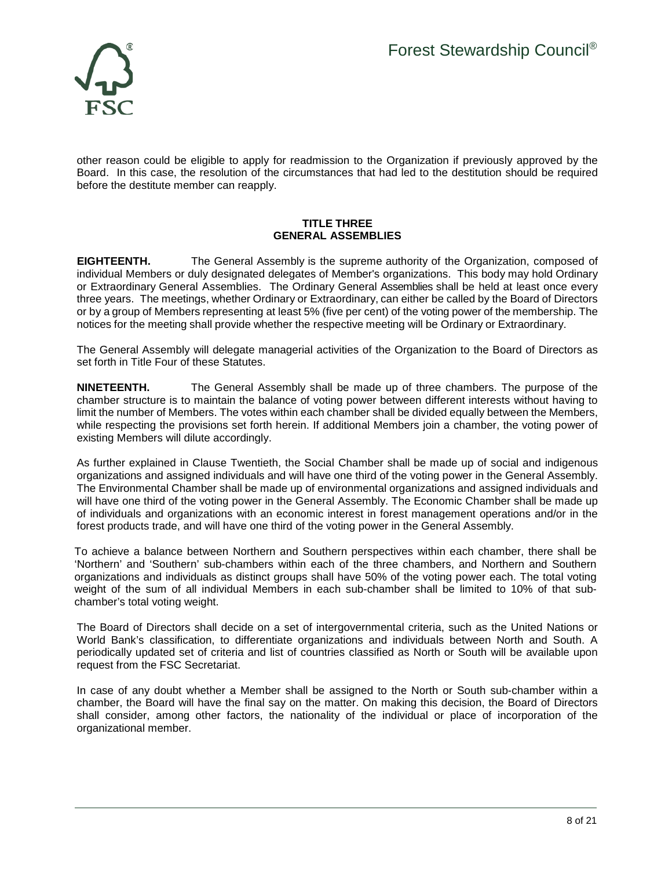

other reason could be eligible to apply for readmission to the Organization if previously approved by the Board. In this case, the resolution of the circumstances that had led to the destitution should be required before the destitute member can reapply.

### **TITLE THREE GENERAL ASSEMBLIES**

**EIGHTEENTH.** The General Assembly is the supreme authority of the Organization, composed of individual Members or duly designated delegates of Member's organizations. This body may hold Ordinary or Extraordinary General Assemblies. The Ordinary General Assemblies shall be held at least once every three years. The meetings, whether Ordinary or Extraordinary, can either be called by the Board of Directors or by a group of Members representing at least 5% (five per cent) of the voting power of the membership. The notices for the meeting shall provide whether the respective meeting will be Ordinary or Extraordinary.

The General Assembly will delegate managerial activities of the Organization to the Board of Directors as set forth in Title Four of these Statutes.

**NINETEENTH.** The General Assembly shall be made up of three chambers. The purpose of the chamber structure is to maintain the balance of voting power between different interests without having to limit the number of Members. The votes within each chamber shall be divided equally between the Members, while respecting the provisions set forth herein. If additional Members join a chamber, the voting power of existing Members will dilute accordingly.

As further explained in Clause Twentieth, the Social Chamber shall be made up of social and indigenous organizations and assigned individuals and will have one third of the voting power in the General Assembly. The Environmental Chamber shall be made up of environmental organizations and assigned individuals and will have one third of the voting power in the General Assembly. The Economic Chamber shall be made up of individuals and organizations with an economic interest in forest management operations and/or in the forest products trade, and will have one third of the voting power in the General Assembly.

To achieve a balance between Northern and Southern perspectives within each chamber, there shall be 'Northern' and 'Southern' sub-chambers within each of the three chambers, and Northern and Southern organizations and individuals as distinct groups shall have 50% of the voting power each. The total voting weight of the sum of all individual Members in each sub-chamber shall be limited to 10% of that subchamber's total voting weight.

The Board of Directors shall decide on a set of intergovernmental criteria, such as the United Nations or World Bank's classification, to differentiate organizations and individuals between North and South. A periodically updated set of criteria and list of countries classified as North or South will be available upon request from the FSC Secretariat.

In case of any doubt whether a Member shall be assigned to the North or South sub-chamber within a chamber, the Board will have the final say on the matter. On making this decision, the Board of Directors shall consider, among other factors, the nationality of the individual or place of incorporation of the organizational member.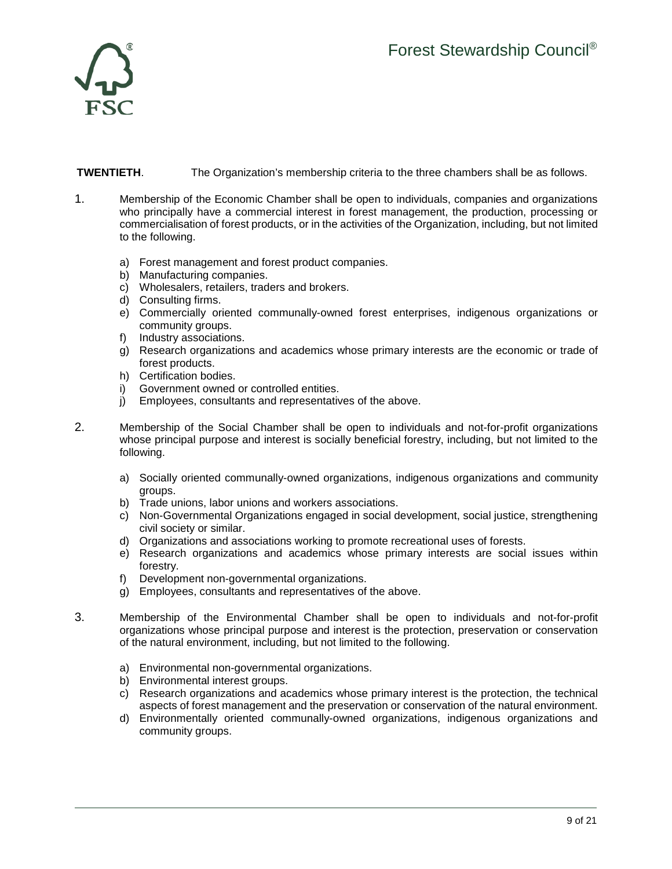

# **TWENTIETH.** The Organization's membership criteria to the three chambers shall be as follows.

- 1. Membership of the Economic Chamber shall be open to individuals, companies and organizations who principally have a commercial interest in forest management, the production, processing or commercialisation of forest products, or in the activities of the Organization, including, but not limited to the following.
	- a) Forest management and forest product companies.
	- b) Manufacturing companies.
	- c) Wholesalers, retailers, traders and brokers.
	- d) Consulting firms.
	- e) Commercially oriented communally-owned forest enterprises, indigenous organizations or community groups.
	- f) Industry associations.
	- g) Research organizations and academics whose primary interests are the economic or trade of forest products.
	- h) Certification bodies.
	- i) Government owned or controlled entities.
	- j) Employees, consultants and representatives of the above.
- 2. Membership of the Social Chamber shall be open to individuals and not-for-profit organizations whose principal purpose and interest is socially beneficial forestry, including, but not limited to the following.
	- a) Socially oriented communally-owned organizations, indigenous organizations and community groups.
	- b) Trade unions, labor unions and workers associations.
	- c) Non-Governmental Organizations engaged in social development, social justice, strengthening civil society or similar.
	- d) Organizations and associations working to promote recreational uses of forests.
	- e) Research organizations and academics whose primary interests are social issues within forestry.
	- f) Development non-governmental organizations.
	- g) Employees, consultants and representatives of the above.
- 3. Membership of the Environmental Chamber shall be open to individuals and not-for-profit organizations whose principal purpose and interest is the protection, preservation or conservation of the natural environment, including, but not limited to the following.
	- a) Environmental non-governmental organizations.
	- b) Environmental interest groups.
	- c) Research organizations and academics whose primary interest is the protection, the technical aspects of forest management and the preservation or conservation of the natural environment.
	- d) Environmentally oriented communally-owned organizations, indigenous organizations and community groups.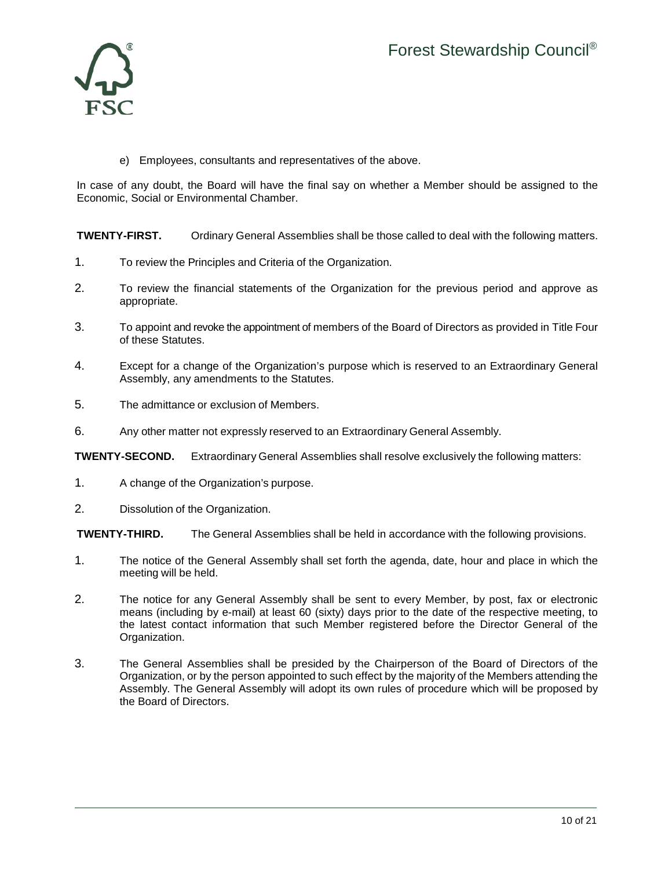

e) Employees, consultants and representatives of the above.

In case of any doubt, the Board will have the final say on whether a Member should be assigned to the Economic, Social or Environmental Chamber.

**TWENTY-FIRST.** Ordinary General Assemblies shall be those called to deal with the following matters.

- 1. To review the Principles and Criteria of the Organization.
- 2. To review the financial statements of the Organization for the previous period and approve as appropriate.
- 3. To appoint and revoke the appointment of members of the Board of Directors as provided in Title Four of these Statutes.
- 4. Except for a change of the Organization's purpose which is reserved to an Extraordinary General Assembly, any amendments to the Statutes.
- 5. The admittance or exclusion of Members.
- 6. Any other matter not expressly reserved to an Extraordinary General Assembly.

**TWENTY-SECOND.** Extraordinary General Assemblies shall resolve exclusively the following matters:

- 1. A change of the Organization's purpose.
- 2. Dissolution of the Organization.

**TWENTY-THIRD.** The General Assemblies shall be held in accordance with the following provisions.

- 1. The notice of the General Assembly shall set forth the agenda, date, hour and place in which the meeting will be held.
- 2. The notice for any General Assembly shall be sent to every Member, by post, fax or electronic means (including by e-mail) at least 60 (sixty) days prior to the date of the respective meeting, to the latest contact information that such Member registered before the Director General of the Organization.
- 3. The General Assemblies shall be presided by the Chairperson of the Board of Directors of the Organization, or by the person appointed to such effect by the majority of the Members attending the Assembly. The General Assembly will adopt its own rules of procedure which will be proposed by the Board of Directors.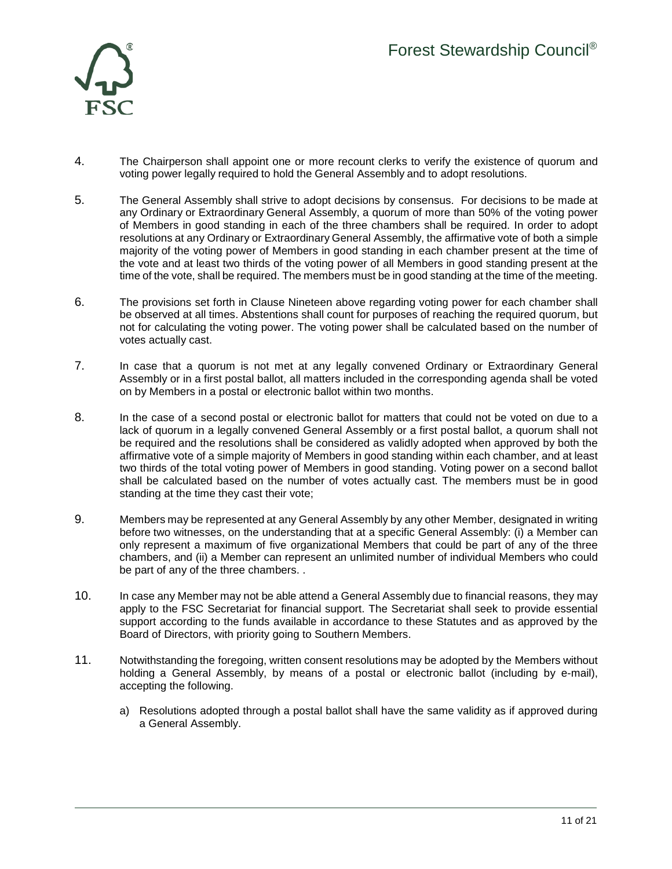

- 4. The Chairperson shall appoint one or more recount clerks to verify the existence of quorum and voting power legally required to hold the General Assembly and to adopt resolutions.
- 5. The General Assembly shall strive to adopt decisions by consensus. For decisions to be made at any Ordinary or Extraordinary General Assembly, a quorum of more than 50% of the voting power of Members in good standing in each of the three chambers shall be required. In order to adopt resolutions at any Ordinary or Extraordinary General Assembly, the affirmative vote of both a simple majority of the voting power of Members in good standing in each chamber present at the time of the vote and at least two thirds of the voting power of all Members in good standing present at the time of the vote, shall be required. The members must be in good standing at the time of the meeting.
- 6. The provisions set forth in Clause Nineteen above regarding voting power for each chamber shall be observed at all times. Abstentions shall count for purposes of reaching the required quorum, but not for calculating the voting power. The voting power shall be calculated based on the number of votes actually cast.
- 7. In case that a quorum is not met at any legally convened Ordinary or Extraordinary General Assembly or in a first postal ballot, all matters included in the corresponding agenda shall be voted on by Members in a postal or electronic ballot within two months.
- 8. In the case of a second postal or electronic ballot for matters that could not be voted on due to a lack of quorum in a legally convened General Assembly or a first postal ballot, a quorum shall not be required and the resolutions shall be considered as validly adopted when approved by both the affirmative vote of a simple majority of Members in good standing within each chamber, and at least two thirds of the total voting power of Members in good standing. Voting power on a second ballot shall be calculated based on the number of votes actually cast. The members must be in good standing at the time they cast their vote;
- 9. Members may be represented at any General Assembly by any other Member, designated in writing before two witnesses, on the understanding that at a specific General Assembly: (i) a Member can only represent a maximum of five organizational Members that could be part of any of the three chambers, and (ii) a Member can represent an unlimited number of individual Members who could be part of any of the three chambers. .
- 10. In case any Member may not be able attend a General Assembly due to financial reasons, they may apply to the FSC Secretariat for financial support. The Secretariat shall seek to provide essential support according to the funds available in accordance to these Statutes and as approved by the Board of Directors, with priority going to Southern Members.
- 11. Notwithstanding the foregoing, written consent resolutions may be adopted by the Members without holding a General Assembly, by means of a postal or electronic ballot (including by e-mail), accepting the following.
	- a) Resolutions adopted through a postal ballot shall have the same validity as if approved during a General Assembly.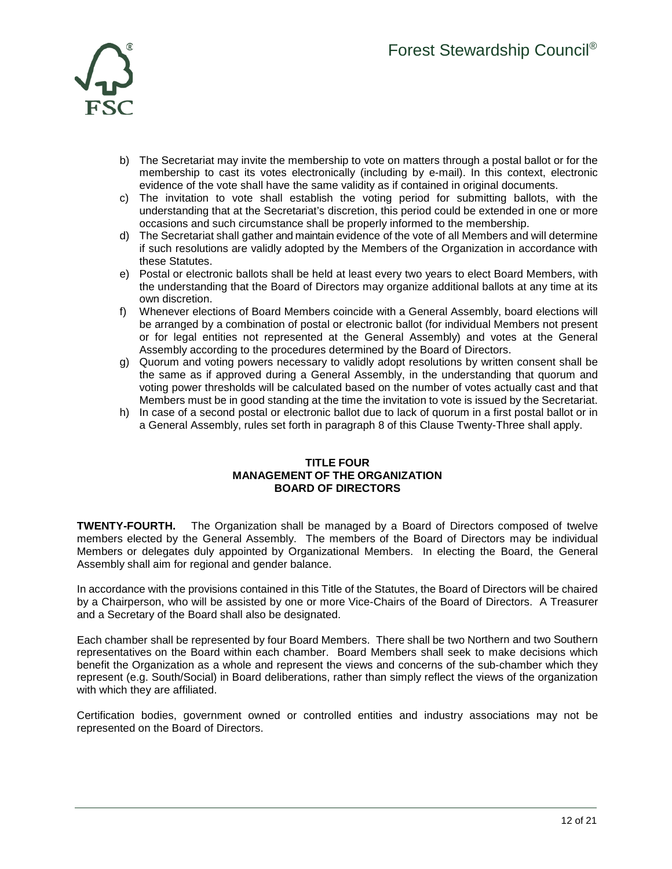

- b) The Secretariat may invite the membership to vote on matters through a postal ballot or for the membership to cast its votes electronically (including by e-mail). In this context, electronic evidence of the vote shall have the same validity as if contained in original documents.
- c) The invitation to vote shall establish the voting period for submitting ballots, with the understanding that at the Secretariat's discretion, this period could be extended in one or more occasions and such circumstance shall be properly informed to the membership.
- d) The Secretariat shall gather and maintain evidence of the vote of all Members and will determine if such resolutions are validly adopted by the Members of the Organization in accordance with these Statutes.
- e) Postal or electronic ballots shall be held at least every two years to elect Board Members, with the understanding that the Board of Directors may organize additional ballots at any time at its own discretion.
- f) Whenever elections of Board Members coincide with a General Assembly, board elections will be arranged by a combination of postal or electronic ballot (for individual Members not present or for legal entities not represented at the General Assembly) and votes at the General Assembly according to the procedures determined by the Board of Directors.
- g) Quorum and voting powers necessary to validly adopt resolutions by written consent shall be the same as if approved during a General Assembly, in the understanding that quorum and voting power thresholds will be calculated based on the number of votes actually cast and that Members must be in good standing at the time the invitation to vote is issued by the Secretariat.
- h) In case of a second postal or electronic ballot due to lack of quorum in a first postal ballot or in a General Assembly, rules set forth in paragraph 8 of this Clause Twenty-Three shall apply.

#### **TITLE FOUR MANAGEMENT OF THE ORGANIZATION BOARD OF DIRECTORS**

**TWENTY-FOURTH.** The Organization shall be managed by a Board of Directors composed of twelve members elected by the General Assembly. The members of the Board of Directors may be individual Members or delegates duly appointed by Organizational Members. In electing the Board, the General Assembly shall aim for regional and gender balance.

In accordance with the provisions contained in this Title of the Statutes, the Board of Directors will be chaired by a Chairperson, who will be assisted by one or more Vice-Chairs of the Board of Directors. A Treasurer and a Secretary of the Board shall also be designated.

Each chamber shall be represented by four Board Members. There shall be two Northern and two Southern representatives on the Board within each chamber. Board Members shall seek to make decisions which benefit the Organization as a whole and represent the views and concerns of the sub-chamber which they represent (e.g. South/Social) in Board deliberations, rather than simply reflect the views of the organization with which they are affiliated.

Certification bodies, government owned or controlled entities and industry associations may not be represented on the Board of Directors.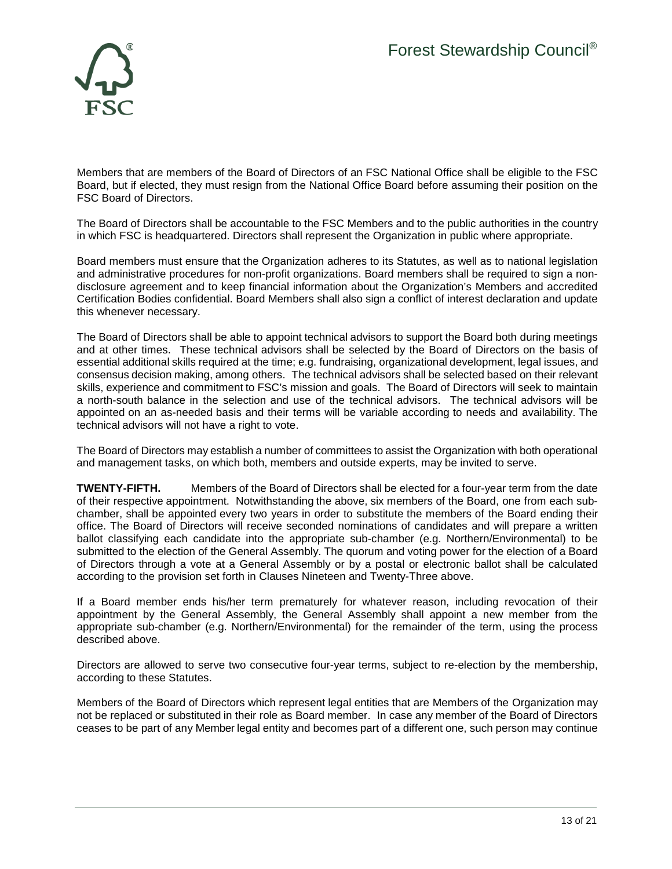

Members that are members of the Board of Directors of an FSC National Office shall be eligible to the FSC Board, but if elected, they must resign from the National Office Board before assuming their position on the FSC Board of Directors.

The Board of Directors shall be accountable to the FSC Members and to the public authorities in the country in which FSC is headquartered. Directors shall represent the Organization in public where appropriate.

Board members must ensure that the Organization adheres to its Statutes, as well as to national legislation and administrative procedures for non-profit organizations. Board members shall be required to sign a nondisclosure agreement and to keep financial information about the Organization's Members and accredited Certification Bodies confidential. Board Members shall also sign a conflict of interest declaration and update this whenever necessary.

The Board of Directors shall be able to appoint technical advisors to support the Board both during meetings and at other times. These technical advisors shall be selected by the Board of Directors on the basis of essential additional skills required at the time; e.g. fundraising, organizational development, legal issues, and consensus decision making, among others. The technical advisors shall be selected based on their relevant skills, experience and commitment to FSC's mission and goals. The Board of Directors will seek to maintain a north-south balance in the selection and use of the technical advisors. The technical advisors will be appointed on an as-needed basis and their terms will be variable according to needs and availability. The technical advisors will not have a right to vote.

The Board of Directors may establish a number of committees to assist the Organization with both operational and management tasks, on which both, members and outside experts, may be invited to serve.

**TWENTY-FIFTH.** Members of the Board of Directors shall be elected for a four-year term from the date of their respective appointment. Notwithstanding the above, six members of the Board, one from each subchamber, shall be appointed every two years in order to substitute the members of the Board ending their office. The Board of Directors will receive seconded nominations of candidates and will prepare a written ballot classifying each candidate into the appropriate sub-chamber (e.g. Northern/Environmental) to be submitted to the election of the General Assembly. The quorum and voting power for the election of a Board of Directors through a vote at a General Assembly or by a postal or electronic ballot shall be calculated according to the provision set forth in Clauses Nineteen and Twenty-Three above.

If a Board member ends his/her term prematurely for whatever reason, including revocation of their appointment by the General Assembly, the General Assembly shall appoint a new member from the appropriate sub-chamber (e.g. Northern/Environmental) for the remainder of the term, using the process described above.

Directors are allowed to serve two consecutive four-year terms, subject to re-election by the membership, according to these Statutes.

Members of the Board of Directors which represent legal entities that are Members of the Organization may not be replaced or substituted in their role as Board member. In case any member of the Board of Directors ceases to be part of any Member legal entity and becomes part of a different one, such person may continue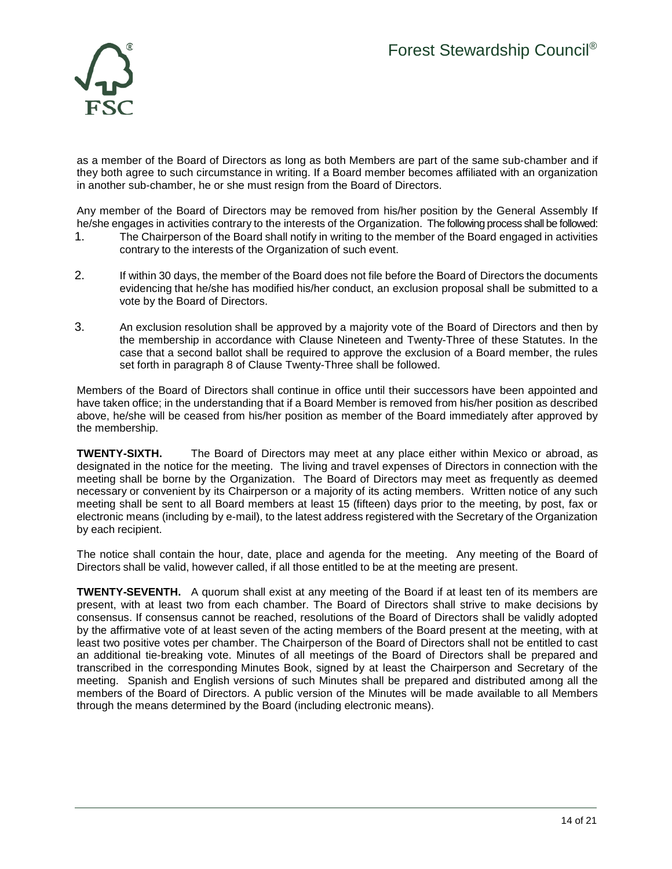

as a member of the Board of Directors as long as both Members are part of the same sub-chamber and if they both agree to such circumstance in writing. If a Board member becomes affiliated with an organization in another sub-chamber, he or she must resign from the Board of Directors.

Any member of the Board of Directors may be removed from his/her position by the General Assembly If he/she engages in activities contrary to the interests of the Organization. The following process shall be followed:

- 1. The Chairperson of the Board shall notify in writing to the member of the Board engaged in activities contrary to the interests of the Organization of such event.
- 2. If within 30 days, the member of the Board does not file before the Board of Directors the documents evidencing that he/she has modified his/her conduct, an exclusion proposal shall be submitted to a vote by the Board of Directors.
- 3. An exclusion resolution shall be approved by a majority vote of the Board of Directors and then by the membership in accordance with Clause Nineteen and Twenty-Three of these Statutes. In the case that a second ballot shall be required to approve the exclusion of a Board member, the rules set forth in paragraph 8 of Clause Twenty-Three shall be followed.

Members of the Board of Directors shall continue in office until their successors have been appointed and have taken office; in the understanding that if a Board Member is removed from his/her position as described above, he/she will be ceased from his/her position as member of the Board immediately after approved by the membership.

**TWENTY-SIXTH.** The Board of Directors may meet at any place either within Mexico or abroad, as designated in the notice for the meeting. The living and travel expenses of Directors in connection with the meeting shall be borne by the Organization. The Board of Directors may meet as frequently as deemed necessary or convenient by its Chairperson or a majority of its acting members. Written notice of any such meeting shall be sent to all Board members at least 15 (fifteen) days prior to the meeting, by post, fax or electronic means (including by e-mail), to the latest address registered with the Secretary of the Organization by each recipient.

The notice shall contain the hour, date, place and agenda for the meeting. Any meeting of the Board of Directors shall be valid, however called, if all those entitled to be at the meeting are present.

**TWENTY-SEVENTH.** A quorum shall exist at any meeting of the Board if at least ten of its members are present, with at least two from each chamber. The Board of Directors shall strive to make decisions by consensus. If consensus cannot be reached, resolutions of the Board of Directors shall be validly adopted by the affirmative vote of at least seven of the acting members of the Board present at the meeting, with at least two positive votes per chamber. The Chairperson of the Board of Directors shall not be entitled to cast an additional tie-breaking vote. Minutes of all meetings of the Board of Directors shall be prepared and transcribed in the corresponding Minutes Book, signed by at least the Chairperson and Secretary of the meeting. Spanish and English versions of such Minutes shall be prepared and distributed among all the members of the Board of Directors. A public version of the Minutes will be made available to all Members through the means determined by the Board (including electronic means).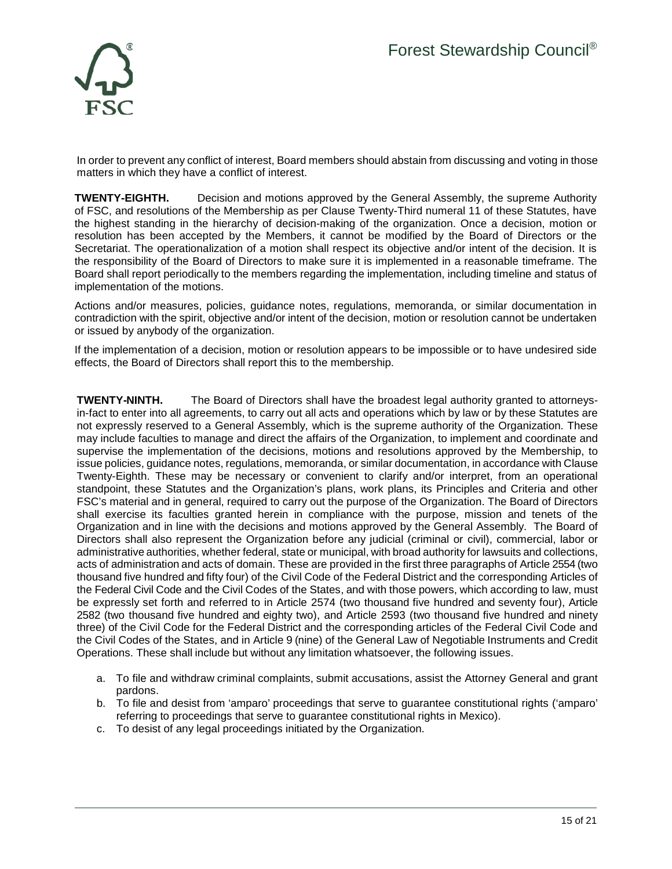

In order to prevent any conflict of interest, Board members should abstain from discussing and voting in those matters in which they have a conflict of interest.

**TWENTY-EIGHTH.** Decision and motions approved by the General Assembly, the supreme Authority of FSC, and resolutions of the Membership as per Clause Twenty-Third numeral 11 of these Statutes, have the highest standing in the hierarchy of decision-making of the organization. Once a decision, motion or resolution has been accepted by the Members, it cannot be modified by the Board of Directors or the Secretariat. The operationalization of a motion shall respect its objective and/or intent of the decision. It is the responsibility of the Board of Directors to make sure it is implemented in a reasonable timeframe. The Board shall report periodically to the members regarding the implementation, including timeline and status of implementation of the motions.

Actions and/or measures, policies, guidance notes, regulations, memoranda, or similar documentation in contradiction with the spirit, objective and/or intent of the decision, motion or resolution cannot be undertaken or issued by anybody of the organization.

If the implementation of a decision, motion or resolution appears to be impossible or to have undesired side effects, the Board of Directors shall report this to the membership.

**TWENTY-NINTH.** The Board of Directors shall have the broadest legal authority granted to attorneysin-fact to enter into all agreements, to carry out all acts and operations which by law or by these Statutes are not expressly reserved to a General Assembly, which is the supreme authority of the Organization. These may include faculties to manage and direct the affairs of the Organization, to implement and coordinate and supervise the implementation of the decisions, motions and resolutions approved by the Membership, to issue policies, guidance notes, regulations, memoranda, or similar documentation, in accordance with Clause Twenty-Eighth. These may be necessary or convenient to clarify and/or interpret, from an operational standpoint, these Statutes and the Organization's plans, work plans, its Principles and Criteria and other FSC's material and in general, required to carry out the purpose of the Organization. The Board of Directors shall exercise its faculties granted herein in compliance with the purpose, mission and tenets of the Organization and in line with the decisions and motions approved by the General Assembly. The Board of Directors shall also represent the Organization before any judicial (criminal or civil), commercial, labor or administrative authorities, whether federal, state or municipal, with broad authority for lawsuits and collections, acts of administration and acts of domain. These are provided in the first three paragraphs of Article 2554 (two thousand five hundred and fifty four) of the Civil Code of the Federal District and the corresponding Articles of the Federal Civil Code and the Civil Codes of the States, and with those powers, which according to law, must be expressly set forth and referred to in Article 2574 (two thousand five hundred and seventy four), Article 2582 (two thousand five hundred and eighty two), and Article 2593 (two thousand five hundred and ninety three) of the Civil Code for the Federal District and the corresponding articles of the Federal Civil Code and the Civil Codes of the States, and in Article 9 (nine) of the General Law of Negotiable Instruments and Credit Operations. These shall include but without any limitation whatsoever, the following issues.

- a. To file and withdraw criminal complaints, submit accusations, assist the Attorney General and grant pardons.
- b. To file and desist from 'amparo' proceedings that serve to guarantee constitutional rights ('amparo' referring to proceedings that serve to guarantee constitutional rights in Mexico).
- c. To desist of any legal proceedings initiated by the Organization.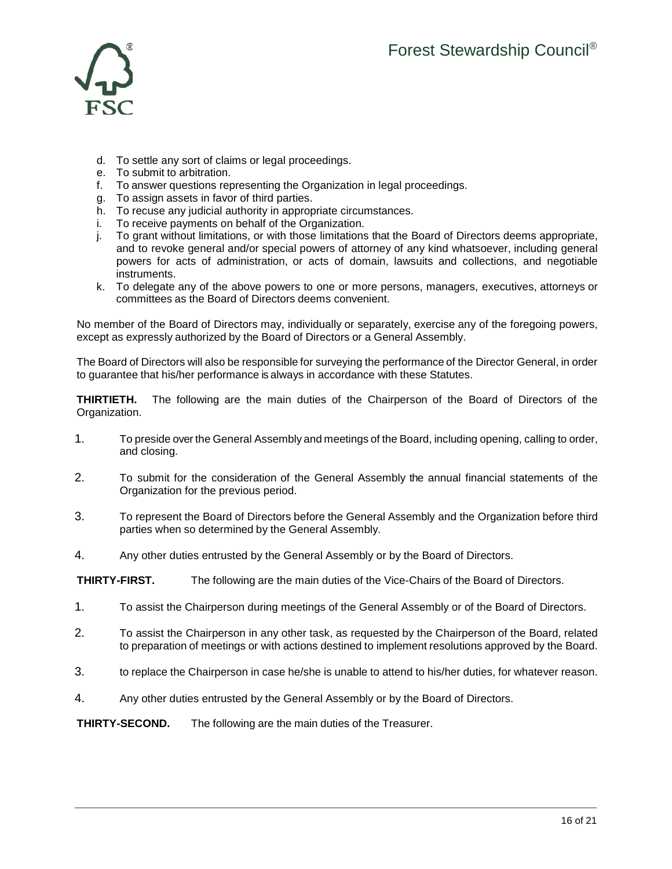

- d. To settle any sort of claims or legal proceedings.
- e. To submit to arbitration.
- f. To answer questions representing the Organization in legal proceedings.
- g. To assign assets in favor of third parties.
- h. To recuse any judicial authority in appropriate circumstances.
- To receive payments on behalf of the Organization.
- j. To grant without limitations, or with those limitations that the Board of Directors deems appropriate, and to revoke general and/or special powers of attorney of any kind whatsoever, including general powers for acts of administration, or acts of domain, lawsuits and collections, and negotiable instruments.
- k. To delegate any of the above powers to one or more persons, managers, executives, attorneys or committees as the Board of Directors deems convenient.

No member of the Board of Directors may, individually or separately, exercise any of the foregoing powers, except as expressly authorized by the Board of Directors or a General Assembly.

The Board of Directors will also be responsible for surveying the performance of the Director General, in order to guarantee that his/her performance is always in accordance with these Statutes.

**THIRTIETH.** The following are the main duties of the Chairperson of the Board of Directors of the Organization.

- 1. To preside over the General Assembly and meetings of the Board, including opening, calling to order, and closing.
- 2. To submit for the consideration of the General Assembly the annual financial statements of the Organization for the previous period.
- 3. To represent the Board of Directors before the General Assembly and the Organization before third parties when so determined by the General Assembly.
- 4. Any other duties entrusted by the General Assembly or by the Board of Directors.

**THIRTY-FIRST.** The following are the main duties of the Vice-Chairs of the Board of Directors.

- 1. To assist the Chairperson during meetings of the General Assembly or of the Board of Directors.
- 2. To assist the Chairperson in any other task, as requested by the Chairperson of the Board, related to preparation of meetings or with actions destined to implement resolutions approved by the Board.
- 3. to replace the Chairperson in case he/she is unable to attend to his/her duties, for whatever reason.
- 4. Any other duties entrusted by the General Assembly or by the Board of Directors.

**THIRTY-SECOND.** The following are the main duties of the Treasurer.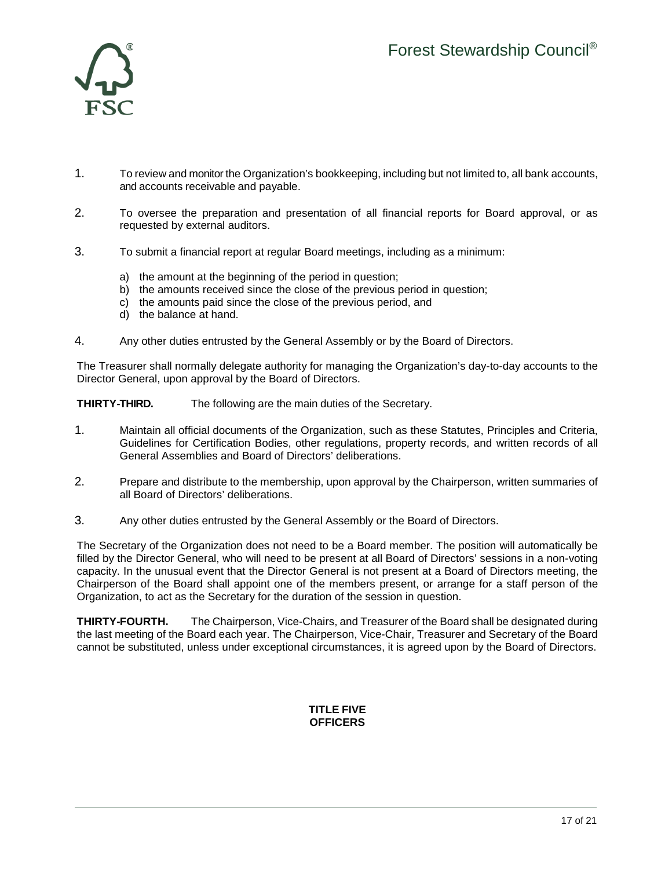

- 1. To review and monitor the Organization's bookkeeping, including but not limited to, all bank accounts, and accounts receivable and payable.
- 2. To oversee the preparation and presentation of all financial reports for Board approval, or as requested by external auditors.
- 3. To submit a financial report at regular Board meetings, including as a minimum:
	- a) the amount at the beginning of the period in question;
	- b) the amounts received since the close of the previous period in question;
	- c) the amounts paid since the close of the previous period, and
	- d) the balance at hand.
- 4. Any other duties entrusted by the General Assembly or by the Board of Directors.

The Treasurer shall normally delegate authority for managing the Organization's day-to-day accounts to the Director General, upon approval by the Board of Directors.

**THIRTY-THIRD.** The following are the main duties of the Secretary.

- 1. Maintain all official documents of the Organization, such as these Statutes, Principles and Criteria, Guidelines for Certification Bodies, other regulations, property records, and written records of all General Assemblies and Board of Directors' deliberations.
- 2. Prepare and distribute to the membership, upon approval by the Chairperson, written summaries of all Board of Directors' deliberations.
- 3. Any other duties entrusted by the General Assembly or the Board of Directors.

The Secretary of the Organization does not need to be a Board member. The position will automatically be filled by the Director General, who will need to be present at all Board of Directors' sessions in a non-voting capacity. In the unusual event that the Director General is not present at a Board of Directors meeting, the Chairperson of the Board shall appoint one of the members present, or arrange for a staff person of the Organization, to act as the Secretary for the duration of the session in question.

**THIRTY-FOURTH.** The Chairperson, Vice-Chairs, and Treasurer of the Board shall be designated during the last meeting of the Board each year. The Chairperson, Vice-Chair, Treasurer and Secretary of the Board cannot be substituted, unless under exceptional circumstances, it is agreed upon by the Board of Directors.

## **TITLE FIVE OFFICERS**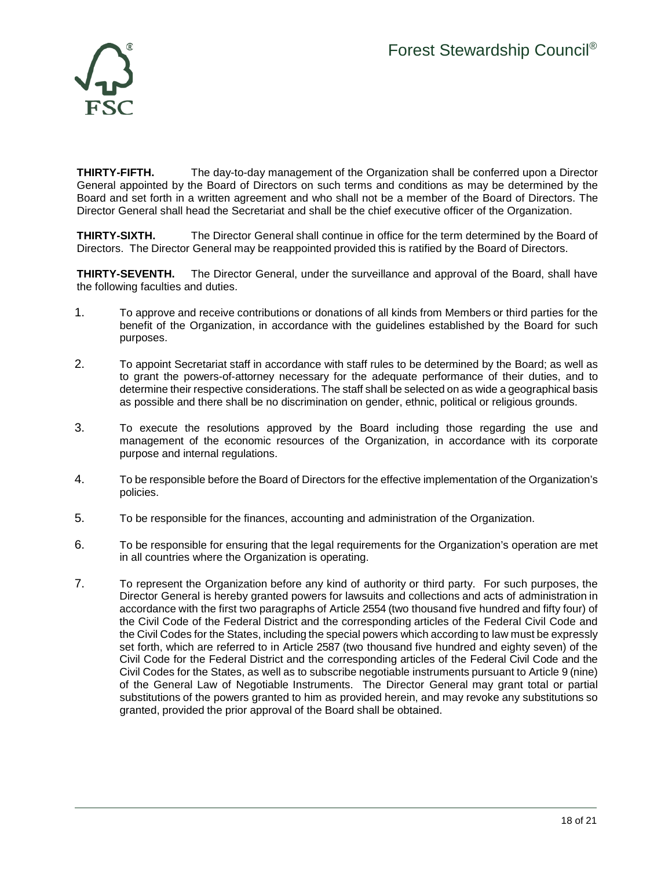

**THIRTY-FIFTH.** The day-to-day management of the Organization shall be conferred upon a Director General appointed by the Board of Directors on such terms and conditions as may be determined by the Board and set forth in a written agreement and who shall not be a member of the Board of Directors. The Director General shall head the Secretariat and shall be the chief executive officer of the Organization.

**THIRTY-SIXTH.** The Director General shall continue in office for the term determined by the Board of Directors. The Director General may be reappointed provided this is ratified by the Board of Directors.

**THIRTY-SEVENTH.** The Director General, under the surveillance and approval of the Board, shall have the following faculties and duties.

- 1. To approve and receive contributions or donations of all kinds from Members or third parties for the benefit of the Organization, in accordance with the guidelines established by the Board for such purposes.
- 2. To appoint Secretariat staff in accordance with staff rules to be determined by the Board; as well as to grant the powers-of-attorney necessary for the adequate performance of their duties, and to determine their respective considerations. The staff shall be selected on as wide a geographical basis as possible and there shall be no discrimination on gender, ethnic, political or religious grounds.
- 3. To execute the resolutions approved by the Board including those regarding the use and management of the economic resources of the Organization, in accordance with its corporate purpose and internal regulations.
- 4. To be responsible before the Board of Directors for the effective implementation of the Organization's policies.
- 5. To be responsible for the finances, accounting and administration of the Organization.
- 6. To be responsible for ensuring that the legal requirements for the Organization's operation are met in all countries where the Organization is operating.
- 7. To represent the Organization before any kind of authority or third party. For such purposes, the Director General is hereby granted powers for lawsuits and collections and acts of administration in accordance with the first two paragraphs of Article 2554 (two thousand five hundred and fifty four) of the Civil Code of the Federal District and the corresponding articles of the Federal Civil Code and the Civil Codes for the States, including the special powers which according to law must be expressly set forth, which are referred to in Article 2587 (two thousand five hundred and eighty seven) of the Civil Code for the Federal District and the corresponding articles of the Federal Civil Code and the Civil Codes for the States, as well as to subscribe negotiable instruments pursuant to Article 9 (nine) of the General Law of Negotiable Instruments. The Director General may grant total or partial substitutions of the powers granted to him as provided herein, and may revoke any substitutions so granted, provided the prior approval of the Board shall be obtained.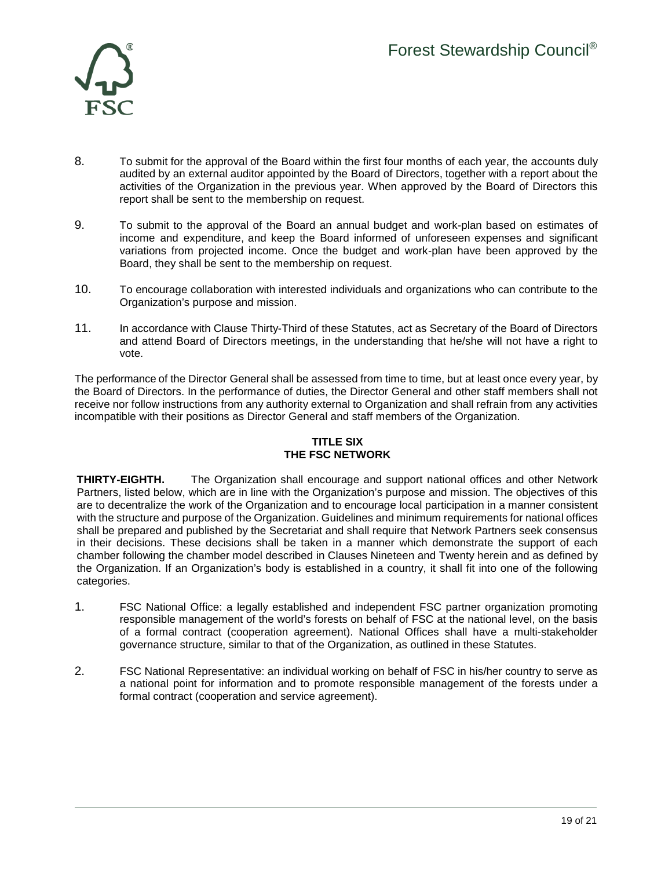

- 8. To submit for the approval of the Board within the first four months of each year, the accounts duly audited by an external auditor appointed by the Board of Directors, together with a report about the activities of the Organization in the previous year. When approved by the Board of Directors this report shall be sent to the membership on request.
- 9. To submit to the approval of the Board an annual budget and work-plan based on estimates of income and expenditure, and keep the Board informed of unforeseen expenses and significant variations from projected income. Once the budget and work-plan have been approved by the Board, they shall be sent to the membership on request.
- 10. To encourage collaboration with interested individuals and organizations who can contribute to the Organization's purpose and mission.
- 11. In accordance with Clause Thirty-Third of these Statutes, act as Secretary of the Board of Directors and attend Board of Directors meetings, in the understanding that he/she will not have a right to vote.

The performance of the Director General shall be assessed from time to time, but at least once every year, by the Board of Directors. In the performance of duties, the Director General and other staff members shall not receive nor follow instructions from any authority external to Organization and shall refrain from any activities incompatible with their positions as Director General and staff members of the Organization.

# **TITLE SIX THE FSC NETWORK**

**THIRTY-EIGHTH.** The Organization shall encourage and support national offices and other Network Partners, listed below, which are in line with the Organization's purpose and mission. The objectives of this are to decentralize the work of the Organization and to encourage local participation in a manner consistent with the structure and purpose of the Organization. Guidelines and minimum requirements for national offices shall be prepared and published by the Secretariat and shall require that Network Partners seek consensus in their decisions. These decisions shall be taken in a manner which demonstrate the support of each chamber following the chamber model described in Clauses Nineteen and Twenty herein and as defined by the Organization. If an Organization's body is established in a country, it shall fit into one of the following categories.

- 1. FSC National Office: a legally established and independent FSC partner organization promoting responsible management of the world's forests on behalf of FSC at the national level, on the basis of a formal contract (cooperation agreement). National Offices shall have a multi-stakeholder governance structure, similar to that of the Organization, as outlined in these Statutes.
- 2. FSC National Representative: an individual working on behalf of FSC in his/her country to serve as a national point for information and to promote responsible management of the forests under a formal contract (cooperation and service agreement).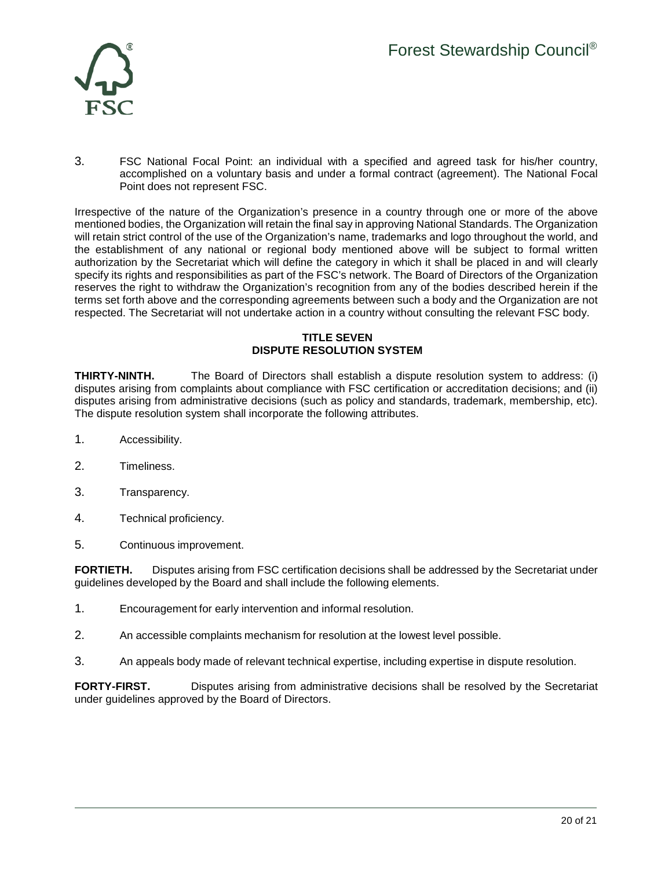

3. FSC National Focal Point: an individual with a specified and agreed task for his/her country, accomplished on a voluntary basis and under a formal contract (agreement). The National Focal Point does not represent FSC.

Irrespective of the nature of the Organization's presence in a country through one or more of the above mentioned bodies, the Organization will retain the final say in approving National Standards. The Organization will retain strict control of the use of the Organization's name, trademarks and logo throughout the world, and the establishment of any national or regional body mentioned above will be subject to formal written authorization by the Secretariat which will define the category in which it shall be placed in and will clearly specify its rights and responsibilities as part of the FSC's network. The Board of Directors of the Organization reserves the right to withdraw the Organization's recognition from any of the bodies described herein if the terms set forth above and the corresponding agreements between such a body and the Organization are not respected. The Secretariat will not undertake action in a country without consulting the relevant FSC body.

#### **TITLE SEVEN DISPUTE RESOLUTION SYSTEM**

**THIRTY-NINTH.** The Board of Directors shall establish a dispute resolution system to address: (i) disputes arising from complaints about compliance with FSC certification or accreditation decisions; and (ii) disputes arising from administrative decisions (such as policy and standards, trademark, membership, etc). The dispute resolution system shall incorporate the following attributes.

- 1. Accessibility.
- 2. Timeliness.
- 3. Transparency.
- 4. Technical proficiency.
- 5. Continuous improvement.

**FORTIETH.** Disputes arising from FSC certification decisions shall be addressed by the Secretariat under guidelines developed by the Board and shall include the following elements.

- 1. Encouragement for early intervention and informal resolution.
- 2. An accessible complaints mechanism for resolution at the lowest level possible.
- 3. An appeals body made of relevant technical expertise, including expertise in dispute resolution.

**FORTY-FIRST.** Disputes arising from administrative decisions shall be resolved by the Secretariat under guidelines approved by the Board of Directors.